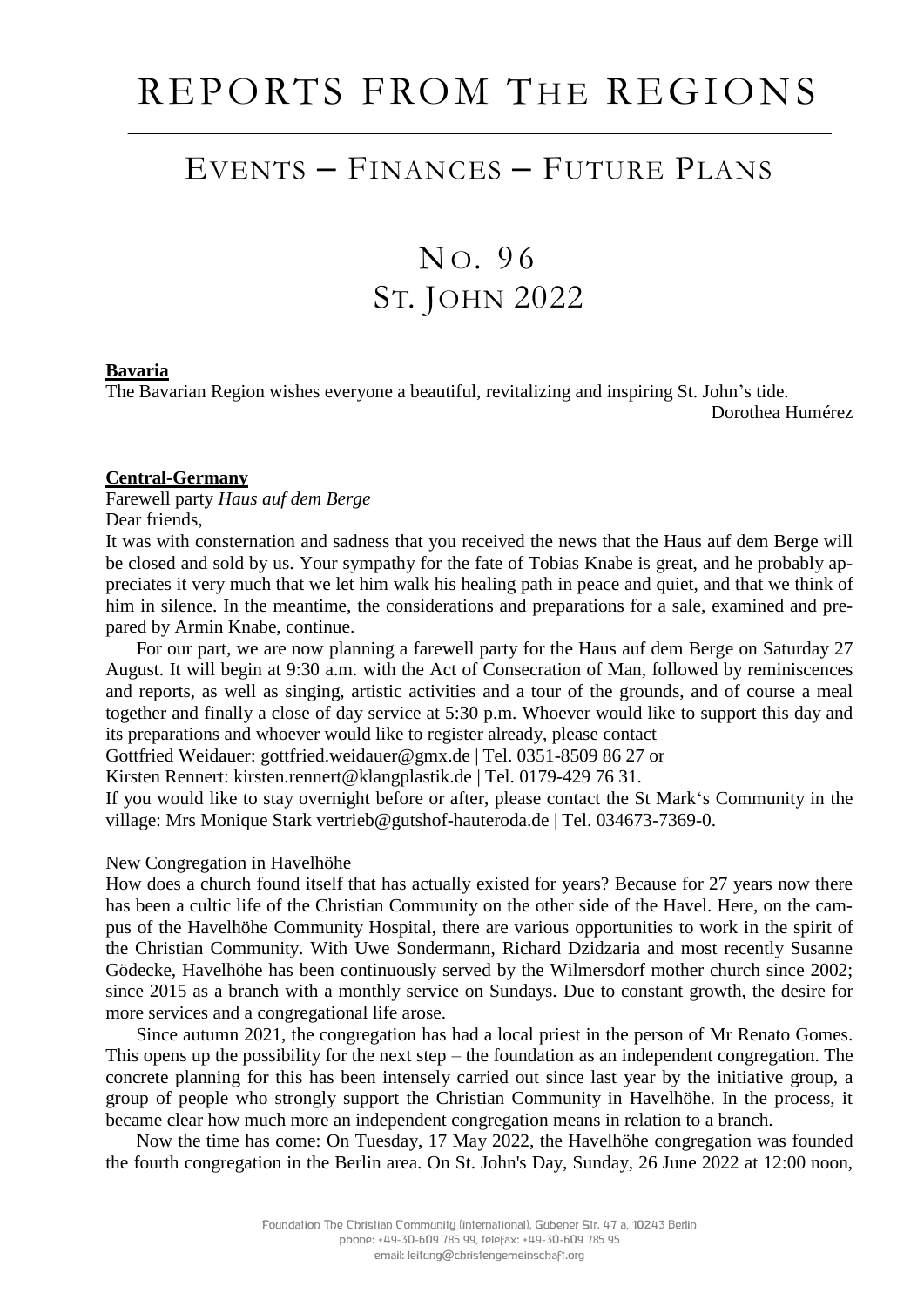# REPORTS FROM THE REGIONS

### EVENTS – FINANCES – FUTURE PLANS

## N O. 9 6 ST. JOHN 2022

#### **Bavaria**

The Bavarian Region wishes everyone a beautiful, revitalizing and inspiring St. John's tide.

Dorothea Humérez

#### **Central-Germany**

Farewell party *Haus auf dem Berge* Dear friends,

It was with consternation and sadness that you received the news that the Haus auf dem Berge will be closed and sold by us. Your sympathy for the fate of Tobias Knabe is great, and he probably appreciates it very much that we let him walk his healing path in peace and quiet, and that we think of him in silence. In the meantime, the considerations and preparations for a sale, examined and prepared by Armin Knabe, continue.

For our part, we are now planning a farewell party for the Haus auf dem Berge on Saturday 27 August. It will begin at 9:30 a.m. with the Act of Consecration of Man, followed by reminiscences and reports, as well as singing, artistic activities and a tour of the grounds, and of course a meal together and finally a close of day service at 5:30 p.m. Whoever would like to support this day and its preparations and whoever would like to register already, please contact

Gottfried Weidauer: gottfried.weidauer@gmx.de | Tel. 0351-8509 86 27 or

Kirsten Rennert: kirsten.rennert@klangplastik.de | Tel. 0179-429 76 31.

If you would like to stay overnight before or after, please contact the St Mark's Community in the village: Mrs Monique Stark vertrieb@gutshof-hauteroda.de | Tel. 034673-7369-0.

#### New Congregation in Havelhöhe

How does a church found itself that has actually existed for years? Because for 27 years now there has been a cultic life of the Christian Community on the other side of the Havel. Here, on the campus of the Havelhöhe Community Hospital, there are various opportunities to work in the spirit of the Christian Community. With Uwe Sondermann, Richard Dzidzaria and most recently Susanne Gödecke, Havelhöhe has been continuously served by the Wilmersdorf mother church since 2002; since 2015 as a branch with a monthly service on Sundays. Due to constant growth, the desire for more services and a congregational life arose.

Since autumn 2021, the congregation has had a local priest in the person of Mr Renato Gomes. This opens up the possibility for the next step – the foundation as an independent congregation. The concrete planning for this has been intensely carried out since last year by the initiative group, a group of people who strongly support the Christian Community in Havelhöhe. In the process, it became clear how much more an independent congregation means in relation to a branch.

Now the time has come: On Tuesday, 17 May 2022, the Havelhöhe congregation was founded the fourth congregation in the Berlin area. On St. John's Day, Sunday, 26 June 2022 at 12:00 noon,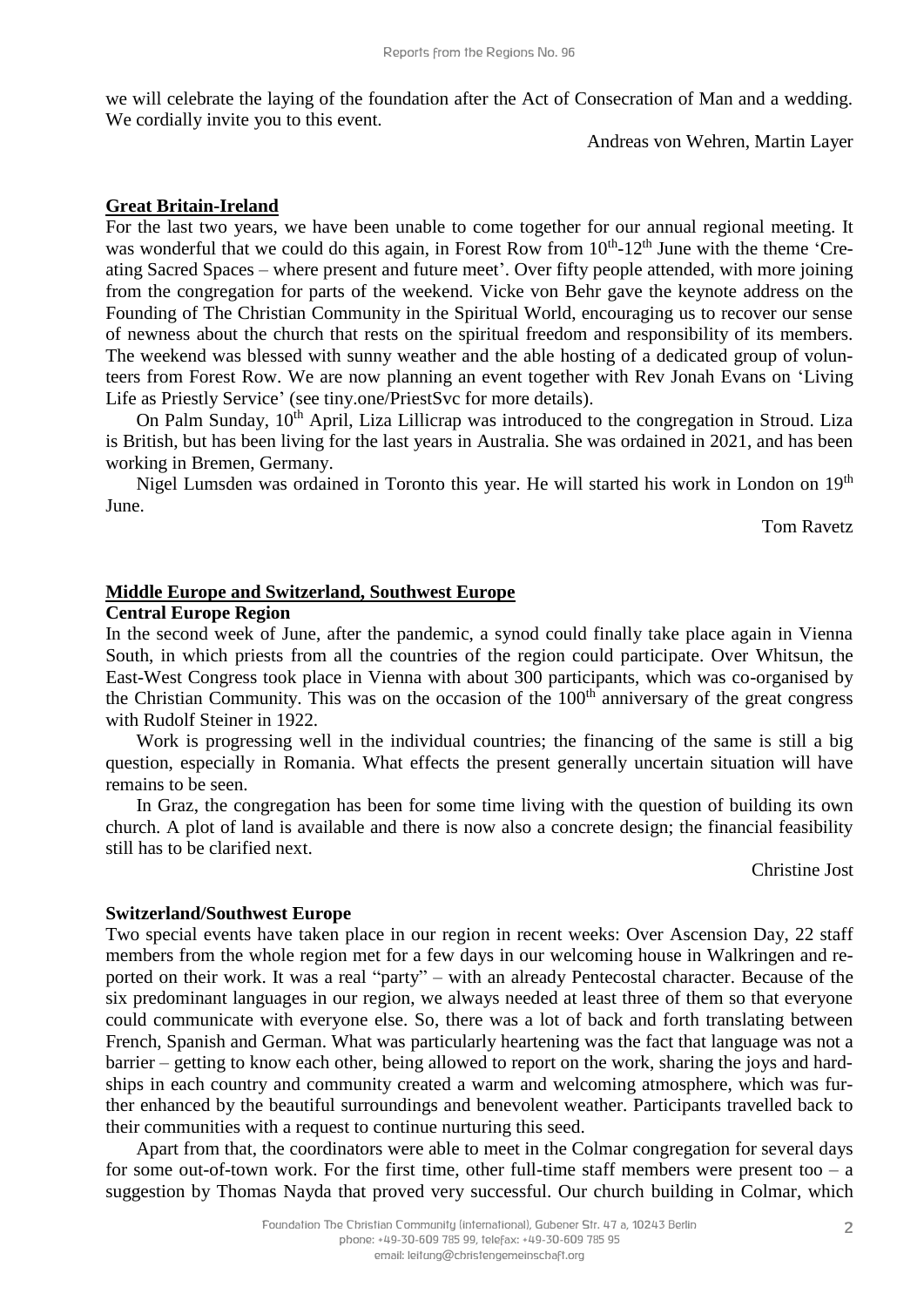we will celebrate the laying of the foundation after the Act of Consecration of Man and a wedding. We cordially invite you to this event.

Andreas von Wehren, Martin Layer

#### **Great Britain-Ireland**

For the last two years, we have been unable to come together for our annual regional meeting. It was wonderful that we could do this again, in Forest Row from 10<sup>th</sup>-12<sup>th</sup> June with the theme 'Creating Sacred Spaces – where present and future meet'. Over fifty people attended, with more joining from the congregation for parts of the weekend. Vicke von Behr gave the keynote address on the Founding of The Christian Community in the Spiritual World, encouraging us to recover our sense of newness about the church that rests on the spiritual freedom and responsibility of its members. The weekend was blessed with sunny weather and the able hosting of a dedicated group of volunteers from Forest Row. We are now planning an event together with Rev Jonah Evans on 'Living Life as Priestly Service' (see tiny.one/PriestSvc for more details).

On Palm Sunday, 10<sup>th</sup> April, Liza Lillicrap was introduced to the congregation in Stroud. Liza is British, but has been living for the last years in Australia. She was ordained in 2021, and has been working in Bremen, Germany.

Nigel Lumsden was ordained in Toronto this year. He will started his work in London on 19<sup>th</sup> June.

Tom Ravetz

#### **Middle Europe and Switzerland, Southwest Europe**

#### **Central Europe Region**

In the second week of June, after the pandemic, a synod could finally take place again in Vienna South, in which priests from all the countries of the region could participate. Over Whitsun, the East-West Congress took place in Vienna with about 300 participants, which was co-organised by the Christian Community. This was on the occasion of the  $100<sup>th</sup>$  anniversary of the great congress with Rudolf Steiner in 1922.

Work is progressing well in the individual countries; the financing of the same is still a big question, especially in Romania. What effects the present generally uncertain situation will have remains to be seen.

In Graz, the congregation has been for some time living with the question of building its own church. A plot of land is available and there is now also a concrete design; the financial feasibility still has to be clarified next.

Christine Jost

#### **Switzerland/Southwest Europe**

Two special events have taken place in our region in recent weeks: Over Ascension Day, 22 staff members from the whole region met for a few days in our welcoming house in Walkringen and reported on their work. It was a real "party" – with an already Pentecostal character. Because of the six predominant languages in our region, we always needed at least three of them so that everyone could communicate with everyone else. So, there was a lot of back and forth translating between French, Spanish and German. What was particularly heartening was the fact that language was not a barrier – getting to know each other, being allowed to report on the work, sharing the joys and hardships in each country and community created a warm and welcoming atmosphere, which was further enhanced by the beautiful surroundings and benevolent weather. Participants travelled back to their communities with a request to continue nurturing this seed.

Apart from that, the coordinators were able to meet in the Colmar congregation for several days for some out-of-town work. For the first time, other full-time staff members were present too  $- a$ suggestion by Thomas Nayda that proved very successful. Our church building in Colmar, which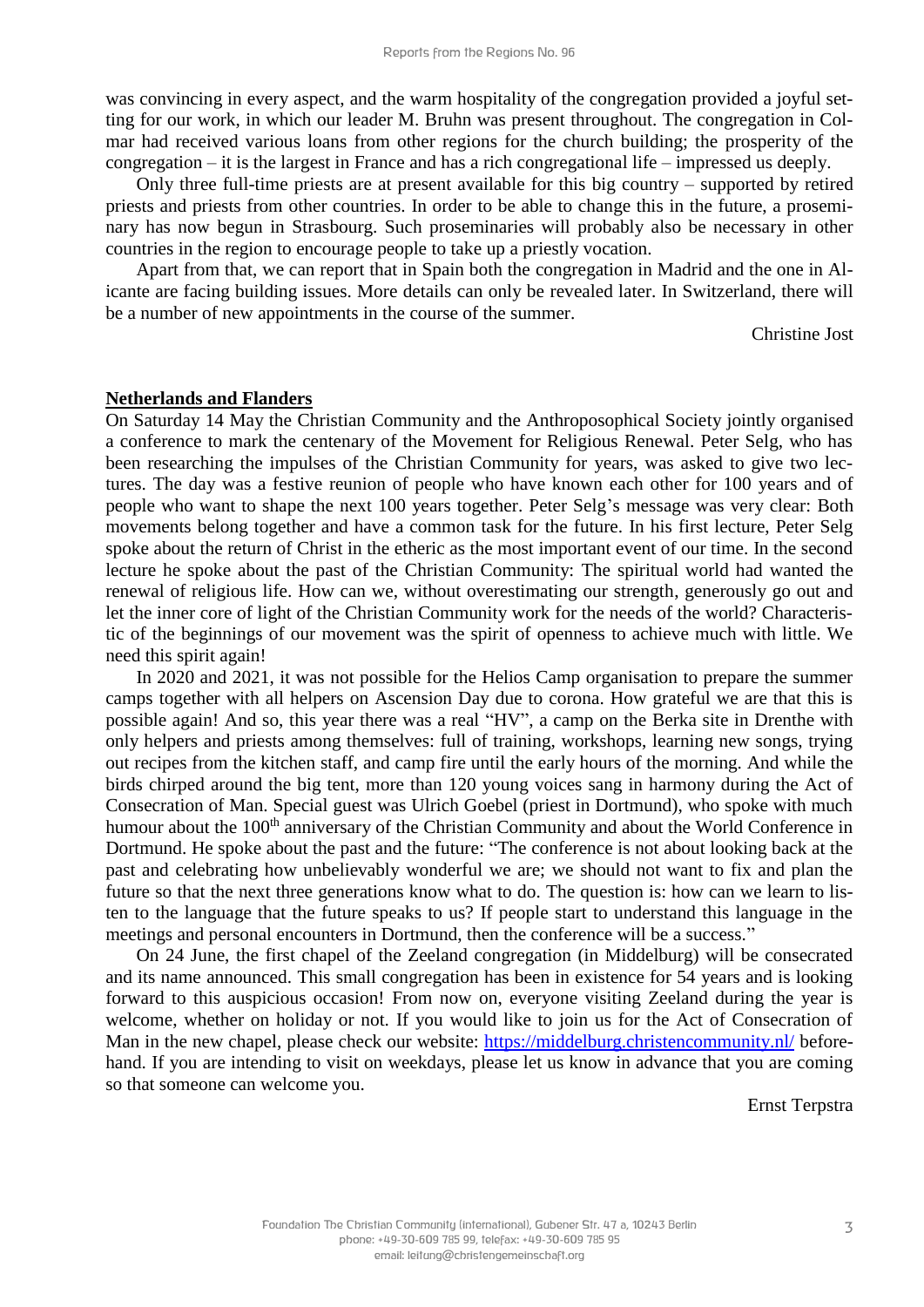was convincing in every aspect, and the warm hospitality of the congregation provided a joyful setting for our work, in which our leader M. Bruhn was present throughout. The congregation in Colmar had received various loans from other regions for the church building; the prosperity of the congregation – it is the largest in France and has a rich congregational life – impressed us deeply.

Only three full-time priests are at present available for this big country – supported by retired priests and priests from other countries. In order to be able to change this in the future, a proseminary has now begun in Strasbourg. Such proseminaries will probably also be necessary in other countries in the region to encourage people to take up a priestly vocation.

Apart from that, we can report that in Spain both the congregation in Madrid and the one in Alicante are facing building issues. More details can only be revealed later. In Switzerland, there will be a number of new appointments in the course of the summer.

Christine Jost

#### **Netherlands and Flanders**

On Saturday 14 May the Christian Community and the Anthroposophical Society jointly organised a conference to mark the centenary of the Movement for Religious Renewal. Peter Selg, who has been researching the impulses of the Christian Community for years, was asked to give two lectures. The day was a festive reunion of people who have known each other for 100 years and of people who want to shape the next 100 years together. Peter Selg's message was very clear: Both movements belong together and have a common task for the future. In his first lecture, Peter Selg spoke about the return of Christ in the etheric as the most important event of our time. In the second lecture he spoke about the past of the Christian Community: The spiritual world had wanted the renewal of religious life. How can we, without overestimating our strength, generously go out and let the inner core of light of the Christian Community work for the needs of the world? Characteristic of the beginnings of our movement was the spirit of openness to achieve much with little. We need this spirit again!

In 2020 and 2021, it was not possible for the Helios Camp organisation to prepare the summer camps together with all helpers on Ascension Day due to corona. How grateful we are that this is possible again! And so, this year there was a real "HV", a camp on the Berka site in Drenthe with only helpers and priests among themselves: full of training, workshops, learning new songs, trying out recipes from the kitchen staff, and camp fire until the early hours of the morning. And while the birds chirped around the big tent, more than 120 young voices sang in harmony during the Act of Consecration of Man. Special guest was Ulrich Goebel (priest in Dortmund), who spoke with much humour about the 100<sup>th</sup> anniversary of the Christian Community and about the World Conference in Dortmund. He spoke about the past and the future: "The conference is not about looking back at the past and celebrating how unbelievably wonderful we are; we should not want to fix and plan the future so that the next three generations know what to do. The question is: how can we learn to listen to the language that the future speaks to us? If people start to understand this language in the meetings and personal encounters in Dortmund, then the conference will be a success."

On 24 June, the first chapel of the Zeeland congregation (in Middelburg) will be consecrated and its name announced. This small congregation has been in existence for 54 years and is looking forward to this auspicious occasion! From now on, everyone visiting Zeeland during the year is welcome, whether on holiday or not. If you would like to join us for the Act of Consecration of Man in the new chapel, please check our website:<https://middelburg.christencommunity.nl/> beforehand. If you are intending to visit on weekdays, please let us know in advance that you are coming so that someone can welcome you.

Ernst Terpstra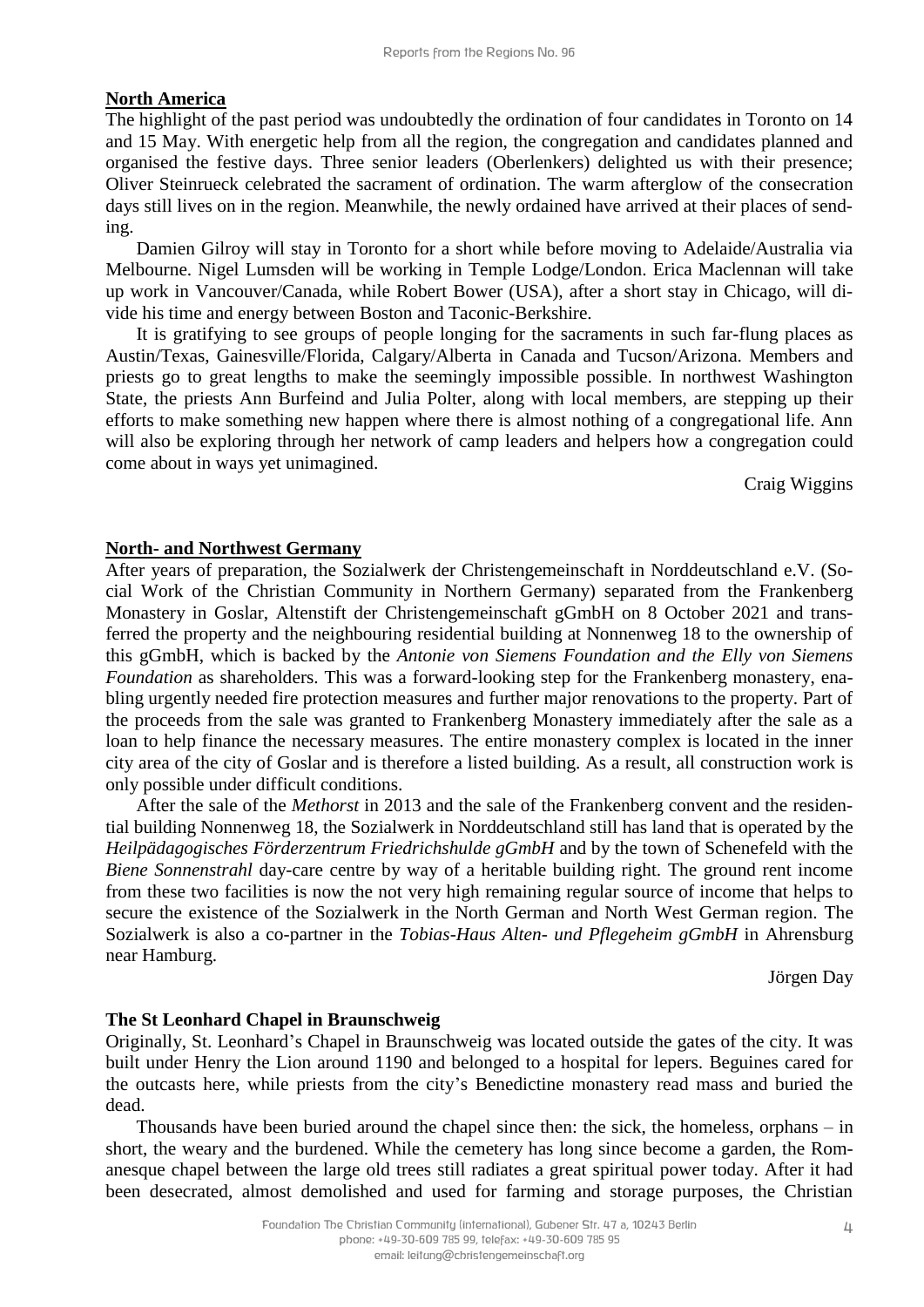#### **North America**

The highlight of the past period was undoubtedly the ordination of four candidates in Toronto on 14 and 15 May. With energetic help from all the region, the congregation and candidates planned and organised the festive days. Three senior leaders (Oberlenkers) delighted us with their presence; Oliver Steinrueck celebrated the sacrament of ordination. The warm afterglow of the consecration days still lives on in the region. Meanwhile, the newly ordained have arrived at their places of sending.

Damien Gilroy will stay in Toronto for a short while before moving to Adelaide/Australia via Melbourne. Nigel Lumsden will be working in Temple Lodge/London. Erica Maclennan will take up work in Vancouver/Canada, while Robert Bower (USA), after a short stay in Chicago, will divide his time and energy between Boston and Taconic-Berkshire.

It is gratifying to see groups of people longing for the sacraments in such far-flung places as Austin/Texas, Gainesville/Florida, Calgary/Alberta in Canada and Tucson/Arizona. Members and priests go to great lengths to make the seemingly impossible possible. In northwest Washington State, the priests Ann Burfeind and Julia Polter, along with local members, are stepping up their efforts to make something new happen where there is almost nothing of a congregational life. Ann will also be exploring through her network of camp leaders and helpers how a congregation could come about in ways yet unimagined.

Craig Wiggins

#### **North- and Northwest Germany**

After years of preparation, the Sozialwerk der Christengemeinschaft in Norddeutschland e.V. (Social Work of the Christian Community in Northern Germany) separated from the Frankenberg Monastery in Goslar, Altenstift der Christengemeinschaft gGmbH on 8 October 2021 and transferred the property and the neighbouring residential building at Nonnenweg 18 to the ownership of this gGmbH, which is backed by the *Antonie von Siemens Foundation and the Elly von Siemens Foundation* as shareholders. This was a forward-looking step for the Frankenberg monastery, enabling urgently needed fire protection measures and further major renovations to the property. Part of the proceeds from the sale was granted to Frankenberg Monastery immediately after the sale as a loan to help finance the necessary measures. The entire monastery complex is located in the inner city area of the city of Goslar and is therefore a listed building. As a result, all construction work is only possible under difficult conditions.

After the sale of the *Methorst* in 2013 and the sale of the Frankenberg convent and the residential building Nonnenweg 18, the Sozialwerk in Norddeutschland still has land that is operated by the *Heilpädagogisches Förderzentrum Friedrichshulde gGmbH* and by the town of Schenefeld with the *Biene Sonnenstrahl* day-care centre by way of a heritable building right. The ground rent income from these two facilities is now the not very high remaining regular source of income that helps to secure the existence of the Sozialwerk in the North German and North West German region. The Sozialwerk is also a co-partner in the *Tobias-Haus Alten- und Pflegeheim gGmbH* in Ahrensburg near Hamburg.

Jörgen Day

#### **The St Leonhard Chapel in Braunschweig**

Originally, St. Leonhard's Chapel in Braunschweig was located outside the gates of the city. It was built under Henry the Lion around 1190 and belonged to a hospital for lepers. Beguines cared for the outcasts here, while priests from the city's Benedictine monastery read mass and buried the dead.

Thousands have been buried around the chapel since then: the sick, the homeless, orphans – in short, the weary and the burdened. While the cemetery has long since become a garden, the Romanesque chapel between the large old trees still radiates a great spiritual power today. After it had been desecrated, almost demolished and used for farming and storage purposes, the Christian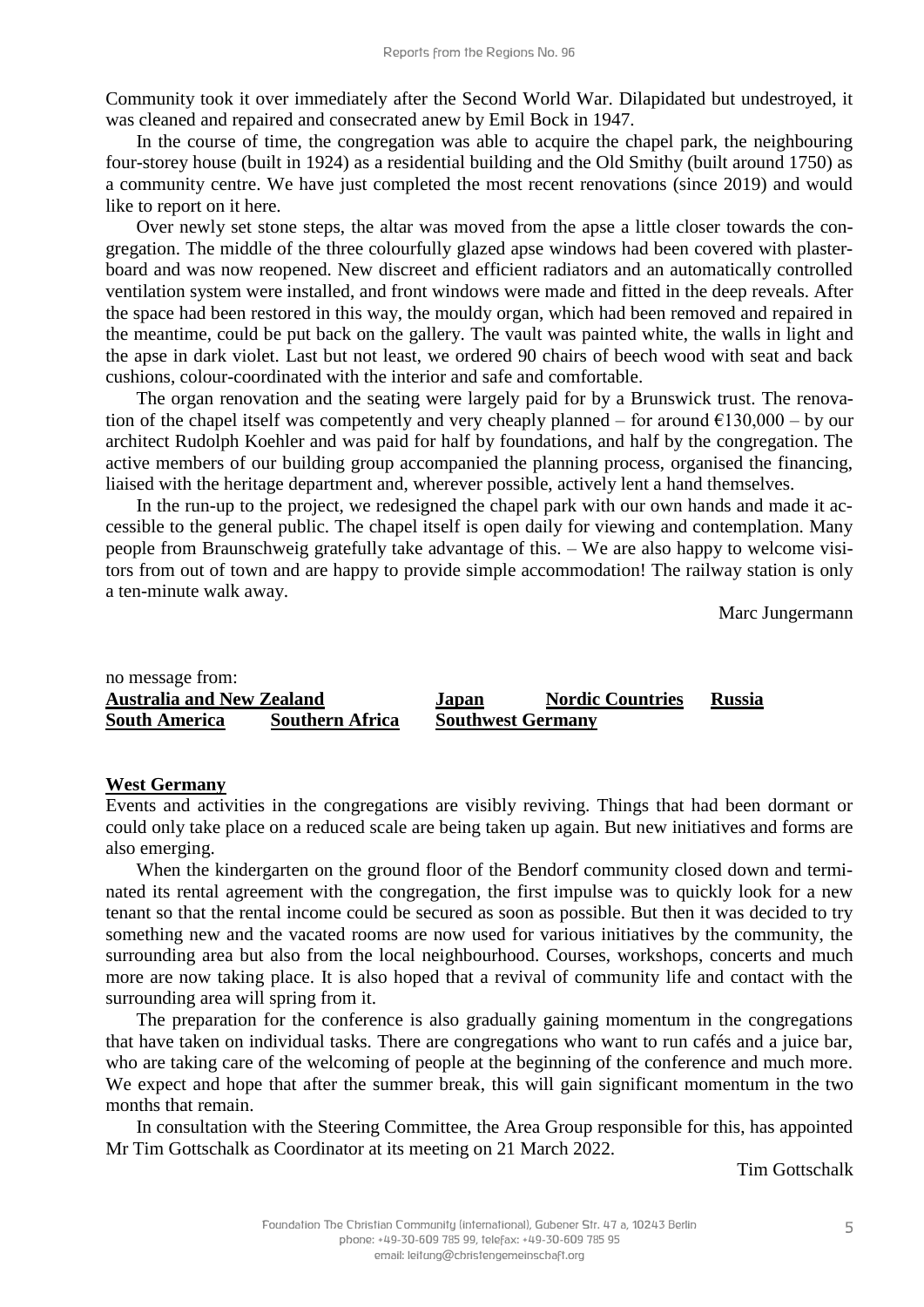Community took it over immediately after the Second World War. Dilapidated but undestroyed, it was cleaned and repaired and consecrated anew by Emil Bock in 1947.

In the course of time, the congregation was able to acquire the chapel park, the neighbouring four-storey house (built in 1924) as a residential building and the Old Smithy (built around 1750) as a community centre. We have just completed the most recent renovations (since 2019) and would like to report on it here.

Over newly set stone steps, the altar was moved from the apse a little closer towards the congregation. The middle of the three colourfully glazed apse windows had been covered with plasterboard and was now reopened. New discreet and efficient radiators and an automatically controlled ventilation system were installed, and front windows were made and fitted in the deep reveals. After the space had been restored in this way, the mouldy organ, which had been removed and repaired in the meantime, could be put back on the gallery. The vault was painted white, the walls in light and the apse in dark violet. Last but not least, we ordered 90 chairs of beech wood with seat and back cushions, colour-coordinated with the interior and safe and comfortable.

The organ renovation and the seating were largely paid for by a Brunswick trust. The renovation of the chapel itself was competently and very cheaply planned – for around  $\epsilon$ 130,000 – by our architect Rudolph Koehler and was paid for half by foundations, and half by the congregation. The active members of our building group accompanied the planning process, organised the financing, liaised with the heritage department and, wherever possible, actively lent a hand themselves.

In the run-up to the project, we redesigned the chapel park with our own hands and made it accessible to the general public. The chapel itself is open daily for viewing and contemplation. Many people from Braunschweig gratefully take advantage of this. – We are also happy to welcome visitors from out of town and are happy to provide simple accommodation! The railway station is only a ten-minute walk away.

Marc Jungermann

| no message from:                 |                        |                          |                         |               |
|----------------------------------|------------------------|--------------------------|-------------------------|---------------|
| <b>Australia and New Zealand</b> |                        | Japan                    | <b>Nordic Countries</b> | <b>Russia</b> |
| <b>South America</b>             | <b>Southern Africa</b> | <b>Southwest Germany</b> |                         |               |

#### **West Germany**

Events and activities in the congregations are visibly reviving. Things that had been dormant or could only take place on a reduced scale are being taken up again. But new initiatives and forms are also emerging.

When the kindergarten on the ground floor of the Bendorf community closed down and terminated its rental agreement with the congregation, the first impulse was to quickly look for a new tenant so that the rental income could be secured as soon as possible. But then it was decided to try something new and the vacated rooms are now used for various initiatives by the community, the surrounding area but also from the local neighbourhood. Courses, workshops, concerts and much more are now taking place. It is also hoped that a revival of community life and contact with the surrounding area will spring from it.

The preparation for the conference is also gradually gaining momentum in the congregations that have taken on individual tasks. There are congregations who want to run cafés and a juice bar, who are taking care of the welcoming of people at the beginning of the conference and much more. We expect and hope that after the summer break, this will gain significant momentum in the two months that remain.

In consultation with the Steering Committee, the Area Group responsible for this, has appointed Mr Tim Gottschalk as Coordinator at its meeting on 21 March 2022.

Tim Gottschalk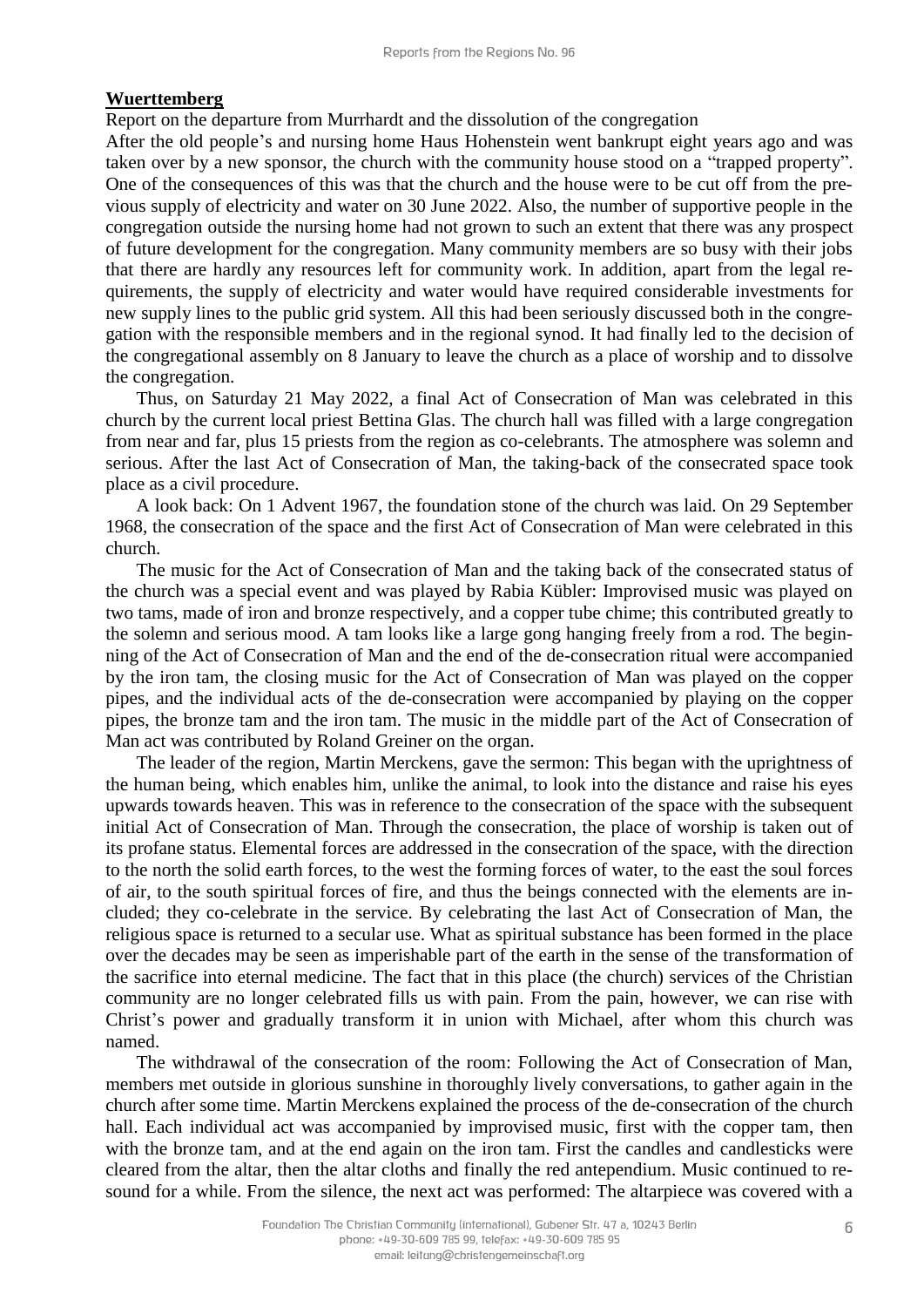#### **Wuerttemberg**

Report on the departure from Murrhardt and the dissolution of the congregation

After the old people's and nursing home Haus Hohenstein went bankrupt eight years ago and was taken over by a new sponsor, the church with the community house stood on a "trapped property". One of the consequences of this was that the church and the house were to be cut off from the previous supply of electricity and water on 30 June 2022. Also, the number of supportive people in the congregation outside the nursing home had not grown to such an extent that there was any prospect of future development for the congregation. Many community members are so busy with their jobs that there are hardly any resources left for community work. In addition, apart from the legal requirements, the supply of electricity and water would have required considerable investments for new supply lines to the public grid system. All this had been seriously discussed both in the congregation with the responsible members and in the regional synod. It had finally led to the decision of the congregational assembly on 8 January to leave the church as a place of worship and to dissolve the congregation.

Thus, on Saturday 21 May 2022, a final Act of Consecration of Man was celebrated in this church by the current local priest Bettina Glas. The church hall was filled with a large congregation from near and far, plus 15 priests from the region as co-celebrants. The atmosphere was solemn and serious. After the last Act of Consecration of Man, the taking-back of the consecrated space took place as a civil procedure.

A look back: On 1 Advent 1967, the foundation stone of the church was laid. On 29 September 1968, the consecration of the space and the first Act of Consecration of Man were celebrated in this church.

The music for the Act of Consecration of Man and the taking back of the consecrated status of the church was a special event and was played by Rabia Kübler: Improvised music was played on two tams, made of iron and bronze respectively, and a copper tube chime; this contributed greatly to the solemn and serious mood. A tam looks like a large gong hanging freely from a rod. The beginning of the Act of Consecration of Man and the end of the de-consecration ritual were accompanied by the iron tam, the closing music for the Act of Consecration of Man was played on the copper pipes, and the individual acts of the de-consecration were accompanied by playing on the copper pipes, the bronze tam and the iron tam. The music in the middle part of the Act of Consecration of Man act was contributed by Roland Greiner on the organ.

The leader of the region, Martin Merckens, gave the sermon: This began with the uprightness of the human being, which enables him, unlike the animal, to look into the distance and raise his eyes upwards towards heaven. This was in reference to the consecration of the space with the subsequent initial Act of Consecration of Man. Through the consecration, the place of worship is taken out of its profane status. Elemental forces are addressed in the consecration of the space, with the direction to the north the solid earth forces, to the west the forming forces of water, to the east the soul forces of air, to the south spiritual forces of fire, and thus the beings connected with the elements are included; they co-celebrate in the service. By celebrating the last Act of Consecration of Man, the religious space is returned to a secular use. What as spiritual substance has been formed in the place over the decades may be seen as imperishable part of the earth in the sense of the transformation of the sacrifice into eternal medicine. The fact that in this place (the church) services of the Christian community are no longer celebrated fills us with pain. From the pain, however, we can rise with Christ's power and gradually transform it in union with Michael, after whom this church was named.

The withdrawal of the consecration of the room: Following the Act of Consecration of Man, members met outside in glorious sunshine in thoroughly lively conversations, to gather again in the church after some time. Martin Merckens explained the process of the de-consecration of the church hall. Each individual act was accompanied by improvised music, first with the copper tam, then with the bronze tam, and at the end again on the iron tam. First the candles and candlesticks were cleared from the altar, then the altar cloths and finally the red antependium. Music continued to resound for a while. From the silence, the next act was performed: The altarpiece was covered with a